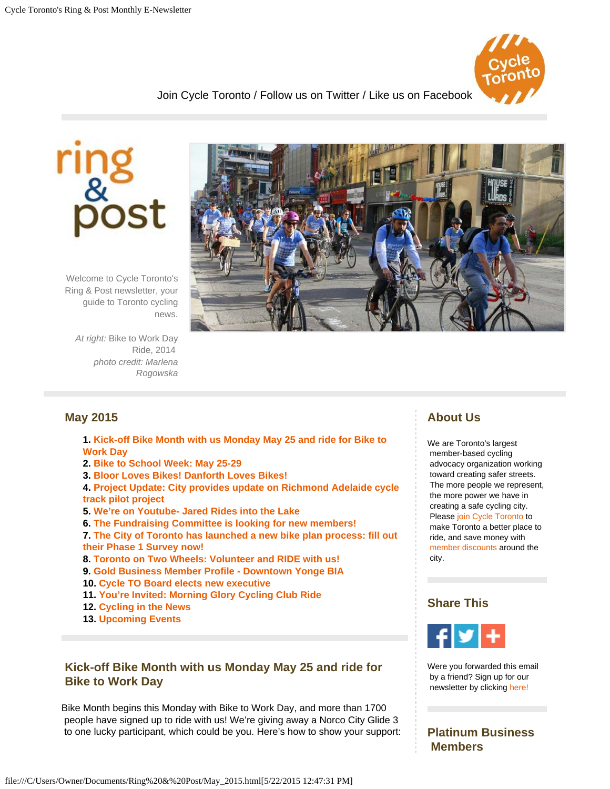

[Join Cycle Toronto /](https://cycleto.ca/civicrm/contribute/transact?reset=1&id=12&{contact.checksum}&cid={contact.contact_id}) [Follow us on Twitter /](http://www.twitter.com/cycletoronto) [Like us on Facebook](http://www.facebook.com/cycletoronto)



Welcome to Cycle Toronto's Ring & Post newsletter, your guide to Toronto cycling news.

*At right:* Bike to Work Day Ride, 2014 *photo credit: Marlena Rogowska*



## **May 2015**

- **1. [Kick-off Bike Month with us Monday May 25 and ride for Bike to](#page-0-0)  [Work Day](#page-0-0)**
- **2. [Bike to School Week: May 25-29](#page-1-0)**
- **3. [Bloor Loves Bikes! Danforth Loves Bikes!](#page-1-1)**

**4. [Project Update: City provides update on Richmond Adelaide cycle](#page-1-2)  [track pilot project](#page-1-2)**

- **5. [We're on Youtube- Jared Rides into the Lake](#page-2-0)**
- **6. [The Fundraising Committee is looking for new members!](#page-2-1)**

**7. [The City of Toronto has launched a new bike plan process: fill out](#page-2-2)  [their Phase 1 Survey now!](#page-2-2)**

- **8. [Toronto on Two Wheels: Volunteer and RIDE with us!](#page-2-3)**
- **9. [Gold Business Member Profile Downtown Yonge BIA](#page-2-4)**
- **10. [Cycle TO Board elects new executive](#page-3-0)**
- **11. [You're Invited: Morning Glory Cycling Club Ride](#page-3-1)**
- **12. [Cycling in the News](#page-3-2)**
- **13. [Upcoming Events](#page-4-0)**

#### <span id="page-0-0"></span>**Kick-off Bike Month with us Monday May 25 and ride for Bike to Work Day**

Bike Month begins this Monday with Bike to Work Day, and more than 1700 people have signed up to ride with us! We're giving away a Norco City Glide 3 to one lucky participant, which could be you. Here's how to show your support:

## **About Us**

We are Toronto's largest member-based cycling advocacy organization working toward creating safer streets. The more people we represent, the more power we have in creating a safe cycling city. Please [join Cycle Toronto](https://www.cycleto.ca/civicrm/contribute/transact?reset=1&id=2&{contact.checksum}&cid={contact.contact_id}) to make Toronto a better place to ride, and save money with [member discounts](http://cycleto.ca/benefits) around the city.

#### **Share This**



Were you forwarded this email by a friend? Sign up for our newsletter by clicking [here!](https://www.cycleto.ca/civicrm/profile/create?gid=3&reset=1)

#### **Platinum Business Members**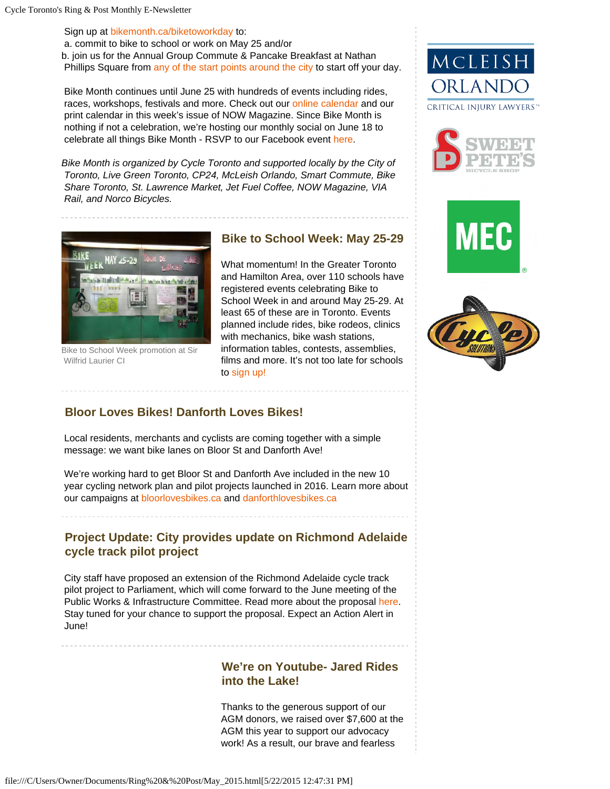Sign up at [bikemonth.ca/biketoworkday](http://www.bikemonth.ca/biketoworkday) to:

a. commit to bike to school or work on May 25 and/or b. join us for the Annual Group Commute & Pancake Breakfast at Nathan Phillips Square from [any of the start points around the city](http://bikemonth.ca/events/260) to start off your day.

Bike Month continues until June 25 with hundreds of events including rides, races, workshops, festivals and more. Check out our [online calendar](http://bikemonth.ca/toronto/events) and our print calendar in this week's issue of NOW Magazine. Since Bike Month is nothing if not a celebration, we're hosting our monthly social on June 18 to celebrate all things Bike Month - RSVP to our Facebook event [here.](https://www.facebook.com/events/949778228386599)

*Bike Month is organized by Cycle Toronto and supported locally by the City of Toronto, Live Green Toronto, CP24, McLeish Orlando, Smart Commute, Bike Share Toronto, St. Lawrence Market, Jet Fuel Coffee, NOW Magazine, VIA Rail, and Norco Bicycles.*

<span id="page-1-0"></span>

Bike to School Week promotion at Sir Wilfrid Laurier CI

## **Bike to School Week: May 25-29**

What momentum! In the Greater Toronto and Hamilton Area, over 110 schools have registered events celebrating Bike to School Week in and around May 25-29. At least 65 of these are in Toronto. Events planned include rides, bike rodeos, clinics with mechanics, bike wash stations, information tables, contests, assemblies, films and more. It's not too late for schools to [sign up!](http://biketoschoolweek.ca/)









## <span id="page-1-1"></span>**Bloor Loves Bikes! Danforth Loves Bikes!**

Local residents, merchants and cyclists are coming together with a simple message: we want bike lanes on Bloor St and Danforth Ave!

We're working hard to get Bloor St and Danforth Ave included in the new 10 year cycling network plan and pilot projects launched in 2016. Learn more about our campaigns a[t bloorlovesbikes.ca](http://www.bloorlovesbikes.ca/) and [danforthlovesbikes.ca](http://www.danforthlovesbikes.ca/)

# <span id="page-1-2"></span>**Project Update: City provides update on Richmond Adelaide cycle track pilot project**

City staff have proposed an extension of the Richmond Adelaide cycle track pilot project to Parliament, which will come forward to the June meeting of the Public Works & Infrastructure Committee. Read more about the proposal [here.](http://www1.toronto.ca/wps/portal/contentonly?vgnextoid=9ec6b6f9fda0d410VgnVCM10000071d60f89RCRD&vgnextchannel=ae48a00f92dd5410VgnVCM10000071d60f89RCRD) Stay tuned for your chance to support the proposal. Expect an Action Alert in June!

## **We're on Youtube- Jared Rides into the Lake!**

Thanks to the generous support of our AGM donors, we raised over \$7,600 at the AGM this year to support our advocacy work! As a result, our brave and fearless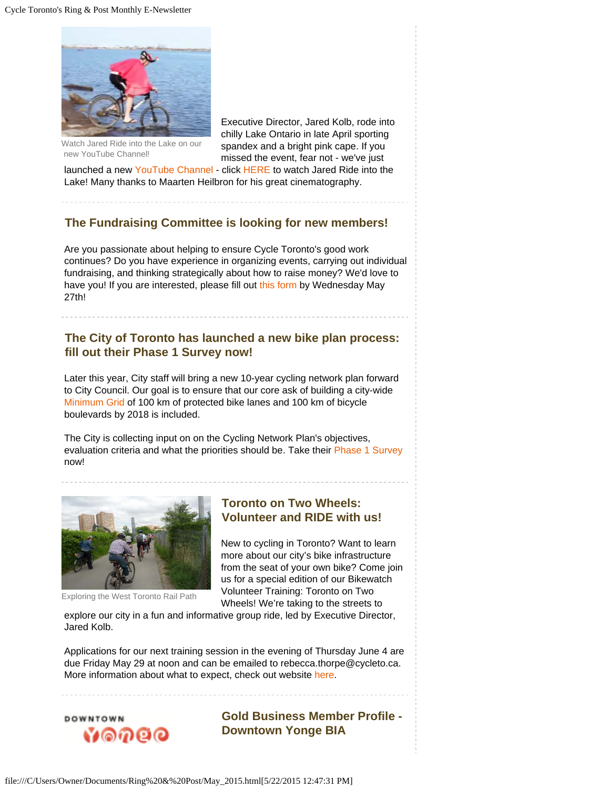<span id="page-2-0"></span>

Watch Jared Ride into the Lake on our new YouTube Channel!

 Executive Director, Jared Kolb, rode into chilly Lake Ontario in late April sporting spandex and a bright pink cape. If you missed the event, fear not - we've just

 launched a new [YouTube Channel](https://www.youtube.com/channel/UCwUE8ySMEqeUFntfB1sVBtg) - click [HERE](https://youtu.be/fiGRunw0vA8) to watch Jared Ride into the Lake! Many thanks to Maarten Heilbron for his great cinematography.

# <span id="page-2-1"></span>**The Fundraising Committee is looking for new members!**

Are you passionate about helping to ensure Cycle Toronto's good work continues? Do you have experience in organizing events, carrying out individual fundraising, and thinking strategically about how to raise money? We'd love to have you! If you are interested, please fill out [this form](https://docs.google.com/a/bikeunion.to/forms/d/1OmRCADwOnlVCaNXvccZL1tkVLnIPQ1j9ICXf3w8FP7g/viewform?c=0&w=1) by Wednesday May 27th!

### <span id="page-2-2"></span> **The City of Toronto has launched a new bike plan process: fill out their Phase 1 Survey now!**

Later this year, City staff will bring a new 10-year cycling network plan forward to City Council. Our goal is to ensure that our core ask of building a city-wide [Minimum Grid](http://www.minimumgrid.ca/) of 100 km of protected bike lanes and 100 km of bicycle boulevards by 2018 is included.

The City is collecting input on on the Cycling Network Plan's objectives, evaluation criteria and what the priorities should be. Take their [Phase 1 Survey](http://www1.toronto.ca/wps/portal/contentonly?vgnextoid=b343970aa08c1410VgnVCM10000071d60f89RCRD) now!

<span id="page-2-3"></span>

Exploring the West Toronto Rail Path

#### **Toronto on Two Wheels: Volunteer and RIDE with us!**

New to cycling in Toronto? Want to learn more about our city's bike infrastructure from the seat of your own bike? Come join us for a special edition of our Bikewatch Volunteer Training: Toronto on Two Wheels! We're taking to the streets to

 explore our city in a fun and informative group ride, led by Executive Director, Jared Kolb.

Applications for our next training session in the evening of Thursday June 4 are due Friday May 29 at noon and can be emailed to rebecca.thorpe@cycleto.ca. More information about what to expect, check out website [here](https://www.cycleto.ca/toronto-two-wheels-volunteer-and-ride-us-0).

<span id="page-2-4"></span>

**Gold Business Member Profile - Downtown Yonge BIA**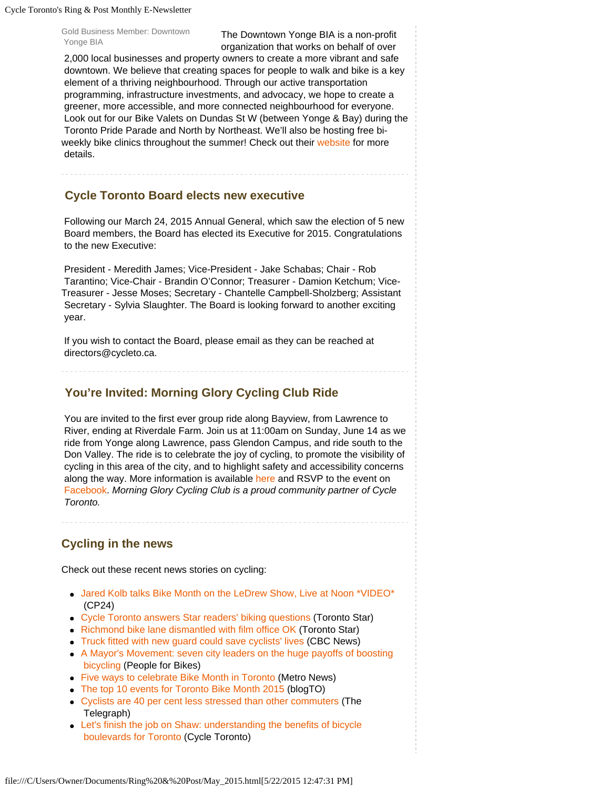Cycle Toronto's Ring & Post Monthly E-Newsletter

Gold Business Member: Downtown

Gold Business Member: Downtown<br>Yonge BIA The Downtown Yonge BIA is a non-profit organization that works on behalf of over

 2,000 local businesses and property owners to create a more vibrant and safe downtown. We believe that creating spaces for people to walk and bike is a key element of a thriving neighbourhood. Through our active transportation programming, infrastructure investments, and advocacy, we hope to create a greener, more accessible, and more connected neighbourhood for everyone. Look out for our Bike Valets on Dundas St W (between Yonge & Bay) during the Toronto Pride Parade and North by Northeast. We'll also be hosting free biweekly bike clinics throughout the summer! Check out their [website](http://www.downtownyonge.com/planning/active_transportation.html) for more details.

#### <span id="page-3-0"></span>**Cycle Toronto Board elects new executive**

Following our March 24, 2015 Annual General, which saw the election of 5 new Board members, the Board has elected its Executive for 2015. Congratulations to the new Executive:

President - Meredith James; Vice-President - Jake Schabas; Chair - Rob Tarantino; Vice-Chair - Brandin O'Connor; Treasurer - Damion Ketchum; Vice-Treasurer - Jesse Moses; Secretary - Chantelle Campbell-Sholzberg; Assistant Secretary - Sylvia Slaughter. The Board is looking forward to another exciting year.

If you wish to contact the Board, please email as they can be reached at directors@cycleto.ca.

### <span id="page-3-1"></span>**You're Invited: Morning Glory Cycling Club Ride**

You are invited to the first ever group ride along Bayview, from Lawrence to River, ending at Riverdale Farm. Join us at 11:00am on Sunday, June 14 as we ride from Yonge along Lawrence, pass Glendon Campus, and ride south to the Don Valley. The ride is to celebrate the joy of cycling, to promote the visibility of cycling in this area of the city, and to highlight safety and accessibility concerns along the way. More information is available [here](http://bikemonth.ca/events/558?location=all-locations) and RSVP to the event on [Facebook](https://www.facebook.com/events/431738196999938/). *Morning Glory Cycling Club is a proud community partner of Cycle Toronto.* 

## <span id="page-3-2"></span>**Cycling in the news**

Check out these recent news stories on cycling:

- [Jared Kolb talks Bike Month on the LeDrew Show, Live at Noon \\*VIDEO\\*](http://www.cp24.com/talk-shows/live-at-noon) (CP24)
- [Cycle Toronto answers Star readers' biking questions](http://www.thestar.com/news/gta/transportation/2015/05/05/cycle-toronto-answers-star-readers-biking-questions.html) (Toronto Star)
- [Richmond bike lane dismantled with film office OK](http://www.thestar.com/news/gta/2015/04/29/closure-of-richmond-street-bike-lane-angers-cyclists.html) (Toronto Star)
- [Truck fitted with new guard could save cyclists' lives \(](http://www.cbc.ca/news/canada/toronto/trucks-fitted-with-new-guard-could-save-cyclists-lives-1.3057155)CBC News)
- [A Mayor's Movement: seven city leaders on the huge payoffs of boosting](http://www.peopleforbikes.org/blog/entry/a-mayors-movement-seven-city-leaders-on-the-huge-payoffs-of-boosting-bicycl)  [bicycling](http://www.peopleforbikes.org/blog/entry/a-mayors-movement-seven-city-leaders-on-the-huge-payoffs-of-boosting-bicycl) (People for Bikes)
- [Five ways to celebrate Bike Month in Toronto](http://metronews.ca/news/toronto/1372181/five-ways-to-celebrate-bike-month-in-toronto/) (Metro News)
- [The top 10 events for Toronto Bike Month 2015](http://www.blogto.com/city/2015/05/the_top_10_events_for_toronto_bike_month_2015/) (blogTO)
- [Cyclists are 40 per cent less stressed than other commuters](http://www.telegraph.co.uk/men/active/recreational-cycling/11603491/Cyclists-are-40-per-cent-less-stressed-than-other-commuters.html) (The Telegraph)
- [Let's finish the job on Shaw: understanding the benefits of bicycle](https://www.cycleto.ca/news/let%E2%80%99s-finish-job-shaw-understanding-benefits-bicycle-boulevards-toronto)  [boulevards for Toronto \(](https://www.cycleto.ca/news/let%E2%80%99s-finish-job-shaw-understanding-benefits-bicycle-boulevards-toronto)Cycle Toronto)